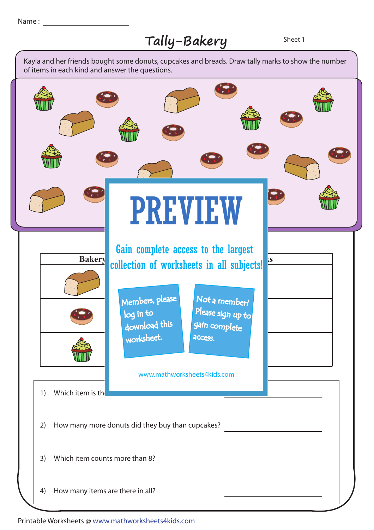## Tally-Bakery Sheet 1

1) Which item is the 3) Which item counts more than 8? 2) How many more donuts did they buy than cupcakes? 4) How many items are there in all? collection of worksheets in all subjects!<sup>S</sup> log in to Bread Cupcake **Bakery** Kayla and her friends bought some donuts, cupcakes and breads. Draw tally marks to show the number of items in each kind and answer the questions. PREVIEW www.mathworksheets4kids.com Members, please download this worksheet. Not a member? gain complete Please sign up to **access** Gain complete access to the largest